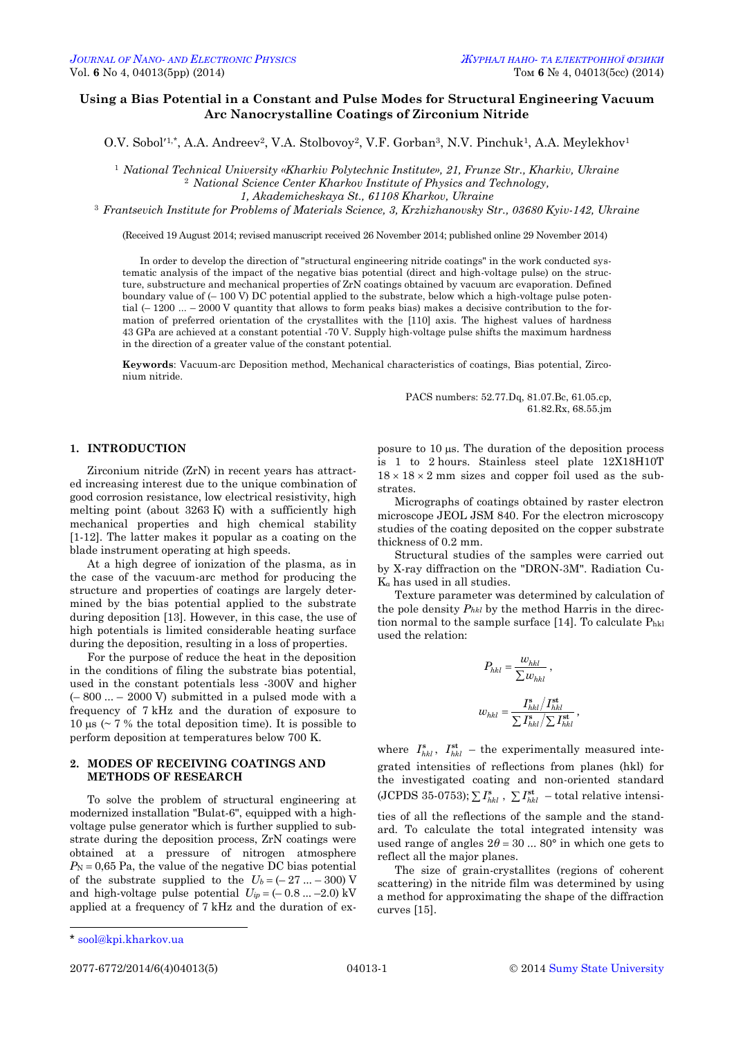# **Using a Bias Potential in a Constant and Pulse Modes for Structural Engineering Vacuum Arc Nanocrystalline Coatings of Zirconium Nitride**

O.V. Sobol<sup>'1,\*</sup>, A.A. Andreev<sup>2</sup>, V.A. Stolbovoy<sup>2</sup>, V.F. Gorban<sup>3</sup>, N.V. Pinchuk<sup>1</sup>, A.A. Meylekhov<sup>1</sup>

<sup>1</sup> *National Technical University «Kharkiv Polytechnic Institute», 21, Frunze Str., Kharkiv, Ukraine* <sup>2</sup> *National Science Center Kharkov Institute of Physics and Technology,* 

*1, Akademicheskaya St., 61108 Kharkov, Ukraine*

<sup>3</sup> *Frantsevich Institute for Problems of Materials Science, 3, Krzhizhanovsky Str., 03680 Kyiv-142, Ukraine*

(Received 19 August 2014; revised manuscript received 26 November 2014; published online 29 November 2014)

In order to develop the direction of "structural engineering nitride coatings" in the work conducted systematic analysis of the impact of the negative bias potential (direct and high-voltage pulse) on the structure, substructure and mechanical properties of ZrN coatings obtained by vacuum arc evaporation. Defined boundary value of (– 100 V) DC potential applied to the substrate, below which a high-voltage pulse potential  $(-1200 - 2000 V$  quantity that allows to form peaks bias) makes a decisive contribution to the formation of preferred orientation of the crystallites with the [110] axis. The highest values of hardness 43 GPa are achieved at a constant potential -70 V. Supply high-voltage pulse shifts the maximum hardness in the direction of a greater value of the constant potential.

**Keywords**: Vacuum-arc Deposition method, Mechanical characteristics of coatings, Bias potential, Zirconium nitride.

> PACS numbers: 52.77.Dq, 81.07.Bc, 61.05.cp, 61.82.Rx, 68.55.jm

### **1. INTRODUCTION**

Zirconium nitride (ZrN) in recent years has attracted increasing interest due to the unique combination of good corrosion resistance, low electrical resistivity, high melting point (about 3263 K) with a sufficiently high mechanical properties and high chemical stability [1-12]. The latter makes it popular as a coating on the blade instrument operating at high speeds.

At a high degree of ionization of the plasma, as in the case of the vacuum-arc method for producing the structure and properties of coatings are largely determined by the bias potential applied to the substrate during deposition [13]. However, in this case, the use of high potentials is limited considerable heating surface during the deposition, resulting in a loss of properties.

For the purpose of reduce the heat in the deposition in the conditions of filing the substrate bias potential, used in the constant potentials less -300V and higher  $(-800 ... - 2000 V)$  submitted in a pulsed mode with a frequency of 7 kHz and the duration of exposure to 10  $\mu$ s (~ 7 % the total deposition time). It is possible to perform deposition at temperatures below 700 K.

## **2. MODES OF RECEIVING COATINGS AND METHODS OF RESEARCH**

To solve the problem of structural engineering at modernized installation "Bulat-6", equipped with a highvoltage pulse generator which is further supplied to substrate during the deposition process, ZrN coatings were obtained at a pressure of nitrogen atmosphere  $P_N = 0.65$  Pa, the value of the negative DC bias potential of the substrate supplied to the  $U_b = (-27 ... -300)$  V and high-voltage pulse potential  $U_{ip} = (-0.8 ... -2.0) \text{ kV}$ applied at a frequency of 7 kHz and the duration of exposure to  $10 \mu s$ . The duration of the deposition process is 1 to 2 hours. Stainless steel plate 12X18H10T  $18 \times 18 \times 2$  mm sizes and copper foil used as the substrates.

Micrographs of coatings obtained by raster electron microscope JEOL JSM 840. For the electron microscopy studies of the coating deposited on the copper substrate thickness of 0.2 mm.

Structural studies of the samples were carried out by X-ray diffraction on the "DRON-3M". Radiation Cu-K<sup>α</sup> has used in all studies.

Texture parameter was determined by calculation of the pole density *Phkl* by the method Harris in the direction normal to the sample surface [14]. To calculate  $P_{hkl}$ used the relation:

$$
P_{hkl} = \frac{w_{hkl}}{\sum w_{hkl}} ,
$$
  

$$
w_{hkl} = \frac{I_{hkl}^{s}/I_{hkl}^{st}}{\sum I_{hkl}^{s}/\sum I_{hkl}^{st}} ,
$$

where  $I_{hkl}^s$ ,  $I_{hkl}^{st}$  – the experimentally measured integrated intensities of reflections from planes (hkl) for the investigated coating and non-oriented standard  $(JCPDS 35-0753)$ ;  $\sum I_{hkl}^s$ ,  $\sum I_{hkl}^{st}$  – total relative intensities of all the reflections of the sample and the standard. To calculate the total integrated intensity was used range of angles  $2\theta = 30$  ... 80° in which one gets to reflect all the major planes.

The size of grain-crystallites (regions of coherent scattering) in the nitride film was determined by using a method for approximating the shape of the diffraction curves [15].

 $\overline{a}$ 

<span id="page-0-3"></span><span id="page-0-2"></span><span id="page-0-1"></span><span id="page-0-0"></span>

<sup>\*</sup> [sool@kpi.kharkov.ua](mailto:sool@kpi.kharkov.ua)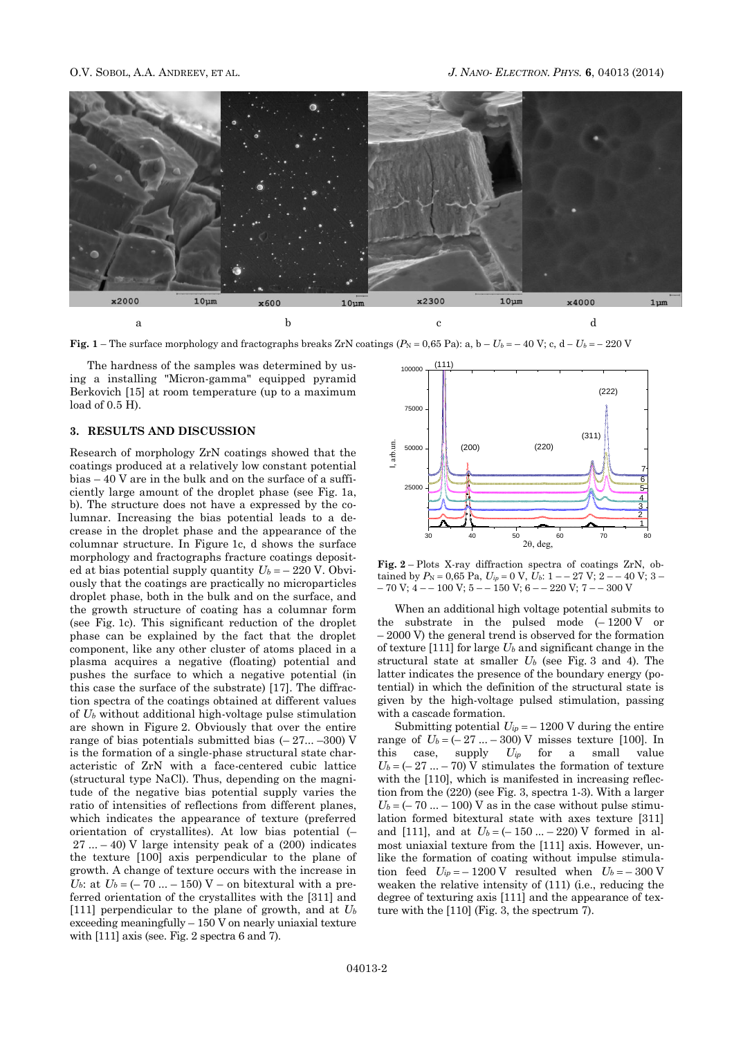

**Fig.** 1 – The surface morphology and fractographs breaks ZrN coatings  $(P_N = 0.65 \text{ Pa})$ : a, b –  $U_b = -40 \text{ V}$ ; c, d –  $U_b = -220 \text{ V}$ 

The hardness of the samples was determined by using a installing "Micron-gamma" equipped pyramid Berkovich [15] at room temperature (up to a maximum load of 0.5 H).

### **3. RESULTS AND DISCUSSION**

Research of morphology ZrN coatings showed that the coatings produced at a relatively low constant potential bias – 40 V are in the bulk and on the surface of a sufficiently large amount of the droplet phase (see Fig. 1a, b). The structure does not have a expressed by the columnar. Increasing the bias potential leads to a decrease in the droplet phase and the appearance of the columnar structure. In Figure 1c, d shows the surface morphology and fractographs fracture coatings deposited at bias potential supply quantity  $U_b = -220$  V. Obviously that the coatings are practically no microparticles droplet phase, both in the bulk and on the surface, and the growth structure of coating has a columnar form (see Fig. 1c). This significant reduction of the droplet phase can be explained by the fact that the droplet component, like any other cluster of atoms placed in a plasma acquires a negative (floating) potential and pushes the surface to which a negative potential (in this case the surface of the substrate) [17]. The diffraction spectra of the coatings obtained at different values of *U<sup>b</sup>* without additional high-voltage pulse stimulation are shown in Figure 2. Obviously that over the entire range of bias potentials submitted bias  $(-27... -300)$  V is the formation of a single-phase structural state characteristic of ZrN with a face-centered cubic lattice (structural type NaCl). Thus, depending on the magnitude of the negative bias potential supply varies the ratio of intensities of reflections from different planes, which indicates the appearance of texture (preferred orientation of crystallites). At low bias potential (–  $27 ... - 40$ ) V large intensity peak of a  $(200)$  indicates the texture [100] axis perpendicular to the plane of growth. A change of texture occurs with the increase in *U*<sup>b</sup>: at  $U_b = (-70 ... - 150) V$  – on bitextural with a preferred orientation of the crystallites with the [311] and [111] perpendicular to the plane of growth, and at *U<sup>b</sup>* exceeding meaningfully – 150 V on nearly uniaxial texture with [111] axis (see. Fig. 2 spectra 6 and 7).



**Fig. 2** – Plots X-ray diffraction spectra of coatings ZrN, obtained by  $P_N = 0.65$  Pa,  $U_{ip} = 0$  V,  $U_b$ :  $1 - 27$  V;  $2 - 40$  V;  $3 - 1$  $-70$  V;  $4 - 100$  V;  $5 - 150$  V;  $6 - 220$  V;  $7 - 300$  V

When an additional high voltage potential submits to the substrate in the pulsed mode  $(-1200 V)$  or – 2000 V) the general trend is observed for the formation of texture [111] for large *U<sup>b</sup>* and significant change in the structural state at smaller *U<sup>b</sup>* (see Fig. 3 and 4). The latter indicates the presence of the boundary energy (potential) in which the definition of the structural state is given by the high-voltage pulsed stimulation, passing with a cascade formation.

Submitting potential  $U_{ip} = -1200 \text{ V}$  during the entire range of  $U_b = (-27 ... -300)$  V misses texture [100]. In this case, supply *Uip* for a small value  $U_b = (-27 ... -70) \widetilde{V}$  stimulates the formation of texture with the [110], which is manifested in increasing reflection from the (220) (see Fig. 3, spectra 1-3). With a larger  $U_b = (-70 ... -100)$  V as in the case without pulse stimulation formed bitextural state with axes texture [311] and [111], and at  $U_b = (-150 ... - 220)$  V formed in almost uniaxial texture from the [111] axis. However, unlike the formation of coating without impulse stimulation feed  $U_{ip} = -1200 \text{ V}$  resulted when  $U_b = -300 \text{ V}$ weaken the relative intensity of (111) (i.e., reducing the degree of texturing axis [111] and the appearance of texture with the [110] (Fig. 3, the spectrum 7).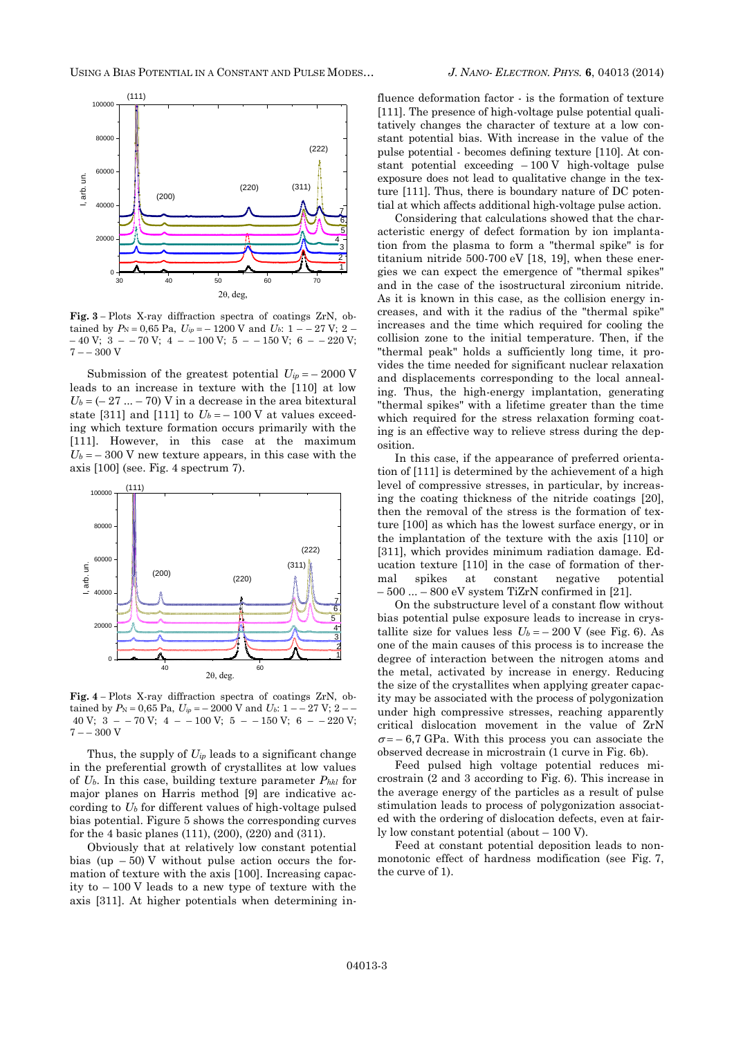

**Fig. 3** *–* Plots X-ray diffraction spectra of coatings ZrN, obtained by  $P_N = 0,65$  Pa,  $U_{ip} = -1200$  V and  $U_b$ : 1 – – 27 V; 2 –  $-40 \text{ V};$  3 – – 70 V; 4 – – 100 V; 5 – – 150 V; 6 – – 220 V;  $7 - -300 V$ 

Submission of the greatest potential  $U_{ip} = -2000 \text{ V}$ leads to an increase in texture with the [110] at low  $U_b = (-27 ... - 70)$  V in a decrease in the area bitextural state [311] and [111] to  $U_b = -100$  V at values exceeding which texture formation occurs primarily with the [111]. However, in this case at the maximum  $U_b = -300$  V new texture appears, in this case with the axis [100] (see. Fig. 4 spectrum 7).



**Fig. 4** *–* Plots X-ray diffraction spectra of coatings ZrN, obtained by  $P_N = 0.65$  Pa,  $U_{ip} = -2000$  V and  $U_b$ : 1 – – 27 V; 2 – – 40 V;  $3 - -70$  V;  $4 - -100$  V;  $5 - -150$  V;  $6 - -220$  V;  $7 - -300 V$ 

Thus, the supply of  $U_{ip}$  leads to a significant change in the preferential growth of crystallites at low values of *Ub*. In this case, building texture parameter *Phkl* for major planes on Harris method [9] are indicative according to *U<sup>b</sup>* for different values of high-voltage pulsed bias potential. Figure 5 shows the corresponding curves for the 4 basic planes (111), (200), (220) and (311).

Obviously that at relatively low constant potential bias (up  $-50$ ) V without pulse action occurs the formation of texture with the axis [100]. Increasing capacity to – 100 V leads to a new type of texture with the axis [311]. At higher potentials when determining in-

fluence deformation factor - is the formation of texture [111]. The presence of high-voltage pulse potential qualitatively changes the character of texture at a low constant potential bias. With increase in the value of the pulse potential - becomes defining texture [110]. At constant potential exceeding  $-100 \text{ V}$  high-voltage pulse exposure does not lead to qualitative change in the texture [111]. Thus, there is boundary nature of DC potential at which affects additional high-voltage pulse action.

 $\frac{1}{2}$  gies we can expect the emergence of "thermal spikes" 2<sup>1</sup> titanium nitride 500-700 eV [18, 19], when these ener-3 tion from the plasma to form a "thermal spike" is for 5 acteristic energy of defect formation by ion implanta-Considering that calculations showed that the charand in the case of the isostructural zirconium nitride. As it is known in this case, as the collision energy increases, and with it the radius of the "thermal spike" increases and the time which required for cooling the collision zone to the initial temperature. Then, if the "thermal peak" holds a sufficiently long time, it provides the time needed for significant nuclear relaxation and displacements corresponding to the local annealing. Thus, the high-energy implantation, generating "thermal spikes" with a lifetime greater than the time which required for the stress relaxation forming coating is an effective way to relieve stress during the deposition.

> In this case, if the appearance of preferred orientation of [111] is determined by the achievement of a high level of compressive stresses, in particular, by increasing the coating thickness of the nitride coatings [20], then the removal of the stress is the formation of texture [100] as which has the lowest surface energy, or in the implantation of the texture with the axis [110] or [311], which provides minimum radiation damage. Education texture [110] in the case of formation of thermal spikes at constant negative potential  $500 ... - 800$  eV system TiZrN confirmed in [21].

> On the substructure level of a constant flow without bias potential pulse exposure leads to increase in crystallite size for values less  $U_b = -200 \text{ V}$  (see Fig. 6). As one of the main causes of this process is to increase the degree of interaction between the nitrogen atoms and the metal, activated by increase in energy. Reducing the size of the crystallites when applying greater capacity may be associated with the process of polygonization under high compressive stresses, reaching apparently critical dislocation movement in the value of ZrN  $\sigma$ = - 6,7 GPa. With this process you can associate the observed decrease in microstrain (1 curve in Fig. 6b).

> Feed pulsed high voltage potential reduces microstrain (2 and 3 according to Fig. 6). This increase in the average energy of the particles as a result of pulse stimulation leads to process of polygonization associated with the ordering of dislocation defects, even at fairly low constant potential (about – 100 V).

> Feed at constant potential deposition leads to nonmonotonic effect of hardness modification (see Fig. 7, the curve of 1).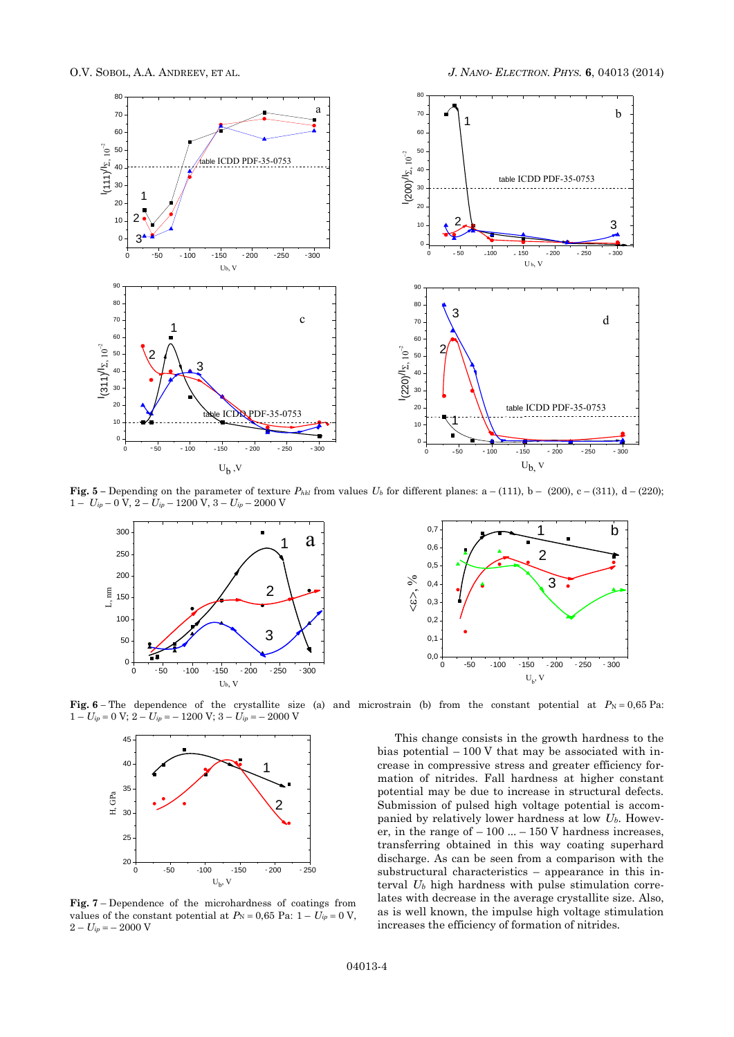

**Fig.** 5 – Depending on the parameter of texture  $P_{hkl}$  from values  $U_b$  for different planes: a – (111), b – (200), c – (311), d – (220);  $1 - U_{ip} - 0$  V,  $2 - U_{ip} - 1200$  V,  $3 - U_{ip} - 2000$  V



**Fig.** 6– The dependence of the crystallite size (a) and microstrain (b) from the constant potential at  $P_N = 0.65$  Pa:  $1 - U_{ip} = 0 \text{ V}; 2 - U_{ip} = -1200 \text{ V}; 3 - U_{ip} = -2000 \text{ V}$ 



**Fig. 7** – Dependence of the microhardness of coatings from values of the constant potential at  $P_N = 0.65$  Pa:  $1 - U_{ip} = 0$  V,  $2 - U_{ip} = -2000 \text{ V}$ 



0 50 100 150 200 250 substructural characteristics – appearance in this in-1 crease in compressive stress and greater efficiency forbias potential  $-100$  V that may be associated with inmation of nitrides. Fall hardness at higher constant potential may be due to increase in structural defects. Submission of pulsed high voltage potential is accompanied by relatively lower hardness at low *Ub*. However, in the range of  $-100$  ...  $-150$  V hardness increases, transferring obtained in this way coating superhard discharge. As can be seen from a comparison with the terval *U<sup>b</sup>* high hardness with pulse stimulation correlates with decrease in the average crystallite size. Also, as is well known, the impulse high voltage stimulation increases the efficiency of formation of nitrides.

This change consists in the growth hardness to the